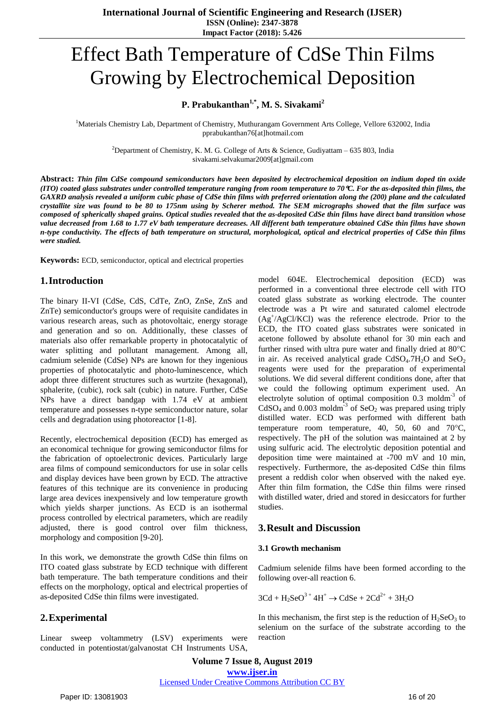# Effect Bath Temperature of CdSe Thin Films Growing by Electrochemical Deposition

# **P. Prabukanthan1,\*, M. S. Sivakami<sup>2</sup>**

<sup>1</sup>Materials Chemistry Lab, Department of Chemistry, Muthurangam Government Arts College, Vellore 632002, India pprabukanthan76[at]hotmail.com

<sup>2</sup>Department of Chemistry, K. M. G. College of Arts & Science, Gudiyattam – 635 803, India sivakami.selvakumar2009[at]gmail.com

Abstract: Thin film CdSe compound semiconductors have been deposited by electrochemical deposition on indium doped tin oxide (ITO) coated glass substrates under controlled temperature ranging from room temperature to 70  $\mathfrak{C}$ . For the as-deposited thin films, the GAXRD analysis revealed a uniform cubic phase of CdSe thin films with preferred orientation along the (200) plane and the calculated crystallite size was found to be 80 to 175nm using by Scherer method. The SEM micrographs showed that the film surface was composed of spherically shaped grains. Optical studies revealed that the as-deposited CdSe thin films have direct band transition whose value decreased from 1.68 to 1.77 eV bath temperature decreases. All different bath temperature obtained CdSe thin films have shown n-type conductivity. The effects of bath temperature on structural, morphological, optical and electrical properties of CdSe thin films *were studied.*

**Keywords:** ECD, semiconductor, optical and electrical properties

## **1.Introduction**

The binary II-VI (CdSe, CdS, CdTe, ZnO, ZnSe, ZnS and ZnTe) semiconductor's groups were of requisite candidates in various research areas, such as photovoltaic, energy storage and generation and so on. Additionally, these classes of materials also offer remarkable property in photocatalytic of water splitting and pollutant management. Among all, cadmium selenide (CdSe) NPs are known for they ingenious properties of photocatalytic and photo-luminescence, which adopt three different structures such as wurtzite (hexagonal), sphalerite, (cubic), rock salt (cubic) in nature. Further, CdSe NPs have a direct bandgap with 1.74 eV at ambient temperature and possesses n-type semiconductor nature, solar cells and degradation using photoreactor [1-8].

Recently, electrochemical deposition (ECD) has emerged as an economical technique for growing semiconductor films for the fabrication of optoelectronic devices. Particularly large area films of compound semiconductors for use in solar cells and display devices have been grown by ECD. The attractive features of this technique are its convenience in producing large area devices inexpensively and low temperature growth which yields sharper junctions. As ECD is an isothermal process controlled by electrical parameters, which are readily adjusted, there is good control over film thickness, morphology and composition [9-20].

In this work, we demonstrate the growth CdSe thin films on ITO coated glass substrate by ECD technique with different bath temperature. The bath temperature conditions and their effects on the morphology, optical and electrical properties of as-deposited CdSe thin films were investigated.

# **2.Experimental**

Linear sweep voltammetry (LSV) experiments were conducted in potentiostat/galvanostat CH Instruments USA,

model 604E. Electrochemical deposition (ECD) was performed in a conventional three electrode cell with ITO coated glass substrate as working electrode. The counter electrode was a Pt wire and saturated calomel electrode (Ag<sup>+</sup> /AgCl/KCl) was the reference electrode. Prior to the ECD, the ITO coated glass substrates were sonicated in acetone followed by absolute ethanol for 30 min each and further rinsed with ultra pure water and finally dried at  $80^{\circ}$ C in air. As received analytical grade  $CdSO<sub>4</sub>$ .7H<sub>2</sub>O and  $SeO<sub>2</sub>$ reagents were used for the preparation of experimental solutions. We did several different conditions done, after that we could the following optimum experiment used. An electrolyte solution of optimal composition 0.3 moldm<sup>-3</sup> of CdSO<sub>4</sub> and 0.003 moldm<sup>-3</sup> of SeO<sub>2</sub> was prepared using triply distilled water. ECD was performed with different bath temperature room temperature, 40, 50, 60 and 70 $^{\circ}$ C, respectively. The pH of the solution was maintained at 2 by using sulfuric acid. The electrolytic deposition potential and deposition time were maintained at -700 mV and 10 min, respectively. Furthermore, the as-deposited CdSe thin films present a reddish color when observed with the naked eye. After thin film formation, the CdSe thin films were rinsed with distilled water, dried and stored in desiccators for further studies.

## **3.Result and Discussion**

#### **3.1 Growth mechanism**

Cadmium selenide films have been formed according to the following over-all reaction 6.

$$
3Cd + H_2SeO^{3+}4H^+ \rightarrow CdSe + 2Cd^{2+} + 3H_2O
$$

In this mechanism, the first step is the reduction of  $H_2SeO_3$  to selenium on the surface of the substrate according to the reaction

**Volume 7 Issue 8, August 2019 www.ijser.in** Licensed Under Creative Commons Attribution CC BY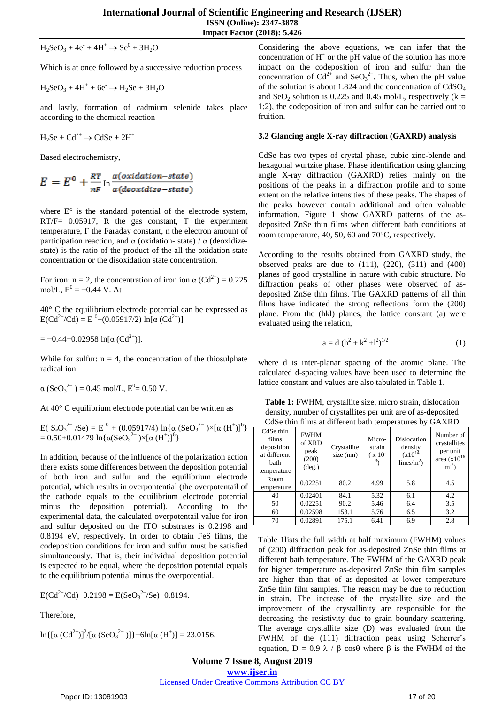$H_2$ SeO<sub>3</sub> + 4e<sup>-</sup> + 4H<sup>+</sup>  $\rightarrow$  Se<sup>0</sup> + 3H<sub>2</sub>O

Which is at once followed by a successive reduction process

 $H_2$ SeO<sub>3</sub> + 4H<sup>+</sup> + 6e<sup>-</sup>  $\rightarrow$  H<sub>2</sub>Se + 3H<sub>2</sub>O

and lastly, formation of cadmium selenide takes place according to the chemical reaction

 $H_2$ Se + Cd<sup>2+</sup>  $\rightarrow$  CdSe + 2H<sup>+</sup>

Based electrochemistry,

$$
E = E^0 + \frac{RT}{nF} \ln \frac{a(oxidation-state)}{a(deoxidize-state)}
$$

where  $E^{\circ}$  is the standard potential of the electrode system, RT/F= 0.05917, R the gas constant, T the experiment temperature, F the Faraday constant, n the electron amount of participation reaction, and α (oxidation- state) /  $\alpha$  (deoxidizestate) is the ratio of the product of the all the oxidation state concentration or the disoxidation state concentration.

For iron: n = 2, the concentration of iron ion  $\alpha$  (Cd<sup>2+</sup>) = 0.225 mol/L,  $E^0 = -0.44$  V. At

40° C the equilibrium electrode potential can be expressed as  $E(Cd^{2+}/Cd) = E^{0} + (0.05917/2) \ln[\alpha (Cd^{2+})]$ 

 $= -0.44+0.02958 \ln[\alpha (Cd^{2+})].$ 

While for sulfur:  $n = 4$ , the concentration of the thiosulphate radical ion

 $\alpha$  (SeO<sub>3</sub><sup>2-</sup>) = 0.45 mol/L, E<sup>0</sup>= 0.50 V.

At 40° C equilibrium electrode potential can be written as

E( SeO<sup>3</sup> 2− /Se) = E 0 + (0.05917/4) ln{α (SeO<sup>3</sup> 2− )×[α (H<sup>+</sup> )]6 } = 0.50+0.01479 ln{α(SeO<sup>3</sup> 2− )×[α (H<sup>+</sup> )]6 }

In addition, because of the influence of the polarization action there exists some differences between the deposition potential of both iron and sulfur and the equilibrium electrode potential, which results in overpontential (the overpotentail of the cathode equals to the equilibrium electrode potential minus the deposition potential). According to the experimental data, the calculated overpotentail value for iron and sulfur deposited on the ITO substrates is 0.2198 and 0.8194 eV, respectively. In order to obtain FeS films, the codeposition conditions for iron and sulfur must be satisfied simultaneously. That is, their individual deposition potential is expected to be equal, where the deposition potential equals to the equilibrium potential minus the overpotential.

 $E(Cd^{2+}/Cd)$ -0.2198 =  $E(SeO_3^{2-}/Se)$ -0.8194.

Therefore,

$$
\ln\{[\alpha (Cd^{2+})]^2/[\alpha (SeO_3^{2-})]\}-6\ln[\alpha (H^+)] = 23.0156.
$$

Considering the above equations, we can infer that the concentration of  $H^+$  or the pH value of the solution has more impact on the codeposition of iron and sulfur than the concentration of  $Cd^{2+}$  and  $SeO_3^{2-}$ . Thus, when the pH value of the solution is about 1.824 and the concentration of CdSO<sup>4</sup> and SeO<sub>2</sub> solution is 0.225 and 0.45 mol/L, respectively ( $k =$ 1:2), the codeposition of iron and sulfur can be carried out to fruition.

#### **3.2 Glancing angle X-ray diffraction (GAXRD) analysis**

CdSe has two types of crystal phase, cubic zinc-blende and hexagonal wurtzite phase. Phase identification using glancing angle X-ray diffraction (GAXRD) relies mainly on the positions of the peaks in a diffraction profile and to some extent on the relative intensities of these peaks. The shapes of the peaks however contain additional and often valuable information. Figure 1 show GAXRD patterns of the asdeposited ZnSe thin films when different bath conditions at room temperature, 40, 50, 60 and  $70^{\circ}$ C, respectively.

According to the results obtained from GAXRD study, the observed peaks are due to  $(111)$ ,  $(220)$ ,  $(311)$  and  $(400)$ planes of good crystalline in nature with cubic structure. No diffraction peaks of other phases were observed of asdeposited ZnSe thin films. The GAXRD patterns of all thin films have indicated the strong reflections form the (200) plane. From the (hkl) planes, the lattice constant (a) were evaluated using the relation,

$$
a = d (h2 + k2 + l2)1/2
$$
 (1)

where d is inter-planar spacing of the atomic plane. The calculated d-spacing values have been used to determine the lattice constant and values are also tabulated in Table 1.

**Table 1:** FWHM, crystallite size, micro strain, dislocation density, number of crystallites per unit are of as-deposited CdSe thin films at different bath temperatures by GAXRD

| CdSe thin<br>films<br>deposition<br>at different<br>hath<br>temperature | <b>FWHM</b><br>of XRD<br>peak<br>(200)<br>$(\text{deg.})$ | Crystallite<br>$size$ (nm) | Micro-<br>strain<br>$(x 10^{-1})$<br>3, | Dislocation<br>density<br>$(x10^{14})$<br>lines/ $m^2$ ) | Number of<br>crystallites<br>per unit<br>area $(x10^{16})$<br>$m^{-2}$ |
|-------------------------------------------------------------------------|-----------------------------------------------------------|----------------------------|-----------------------------------------|----------------------------------------------------------|------------------------------------------------------------------------|
| Room<br>temperature                                                     | 0.02251                                                   | 80.2                       | 4.99                                    | 5.8                                                      | 4.5                                                                    |
| 40                                                                      | 0.02401                                                   | 84.1                       | 5.32                                    | 6.1                                                      | 4.2                                                                    |
| 50                                                                      | 0.02251                                                   | 90.2                       | 5.46                                    | 6.4                                                      | 3.5                                                                    |
| 60                                                                      | 0.02598                                                   | 153.1                      | 5.76                                    | 6.5                                                      | 3.2                                                                    |
| 70                                                                      | 0.02891                                                   | 175.1                      | 6.41                                    | 6.9                                                      | 2.8                                                                    |

Table 1lists the full width at half maximum (FWHM) values of (200) diffraction peak for as-deposited ZnSe thin films at different bath temperature. The FWHM of the GAXRD peak for higher temperature as-deposited ZnSe thin film samples are higher than that of as-deposited at lower temperature ZnSe thin film samples. The reason may be due to reduction in strain. The increase of the crystallite size and the improvement of the crystallinity are responsible for the decreasing the resistivity due to grain boundary scattering. The average crystallite size (D) was evaluated from the FWHM of the (111) diffraction peak using Scherrer's equation,  $D = 0.9 \lambda / \beta \cos\theta$  where  $\beta$  is the FWHM of the

**Volume 7 Issue 8, August 2019**

**www.ijser.in**

Licensed Under Creative Commons Attribution CC BY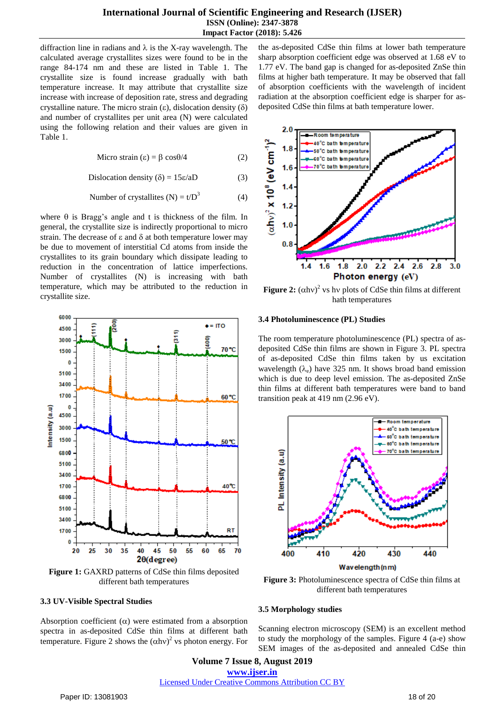## **International Journal of Scientific Engineering and Research (IJSER) ISSN (Online): 2347-3878 Impact Factor (2018): 5.426**

diffraction line in radians and  $\lambda$  is the X-ray wavelength. The calculated average crystallites sizes were found to be in the range 84-174 nm and these are listed in Table 1. The crystallite size is found increase gradually with bath temperature increase. It may attribute that crystallite size increase with increase of deposition rate, stress and degrading crystalline nature. The micro strain  $(\varepsilon)$ , dislocation density  $(\delta)$ and number of crystallites per unit area (N) were calculated using the following relation and their values are given in Table 1.

$$
Micro strain (\varepsilon) = \beta \cos \theta / 4 \tag{2}
$$

Dislocation density  $(\delta) = 15\varepsilon/aD$  (3)

Number of crystallites (N) = 
$$
t/D^3
$$
 (4)

where  $\theta$  is Bragg's angle and t is thickness of the film. In general, the crystallite size is indirectly proportional to micro strain. The decrease of  $\varepsilon$  and  $\delta$  at both temperature lower may be due to movement of interstitial Cd atoms from inside the crystallites to its grain boundary which dissipate leading to reduction in the concentration of lattice imperfections. Number of crystallites (N) is increasing with bath temperature, which may be attributed to the reduction in crystallite size.



**Figure 1:** GAXRD patterns of CdSe thin films deposited different bath temperatures

#### **3.3 UV-Visible Spectral Studies**

Absorption coefficient  $(\alpha)$  were estimated from a absorption spectra in as-deposited CdSe thin films at different bath temperature. Figure 2 shows the  $(\alpha h v)^2$  vs photon energy. For

the as-deposited CdSe thin films at lower bath temperature sharp absorption coefficient edge was observed at 1.68 eV to 1.77 eV. The band gap is changed for as-deposited ZnSe thin films at higher bath temperature. It may be observed that fall of absorption coefficients with the wavelength of incident radiation at the absorption coefficient edge is sharper for asdeposited CdSe thin films at bath temperature lower.



**Figure 2:**  $(\alpha h v)^2$  vs hv plots of CdSe thin films at different hath temperatures

#### **3.4 Photoluminescence (PL) Studies**

The room temperature photoluminescence (PL) spectra of asdeposited CdSe thin films are shown in Figure 3. PL spectra of as-deposited CdSe thin films taken by us excitation wavelength  $(\lambda_e)$  have 325 nm. It shows broad band emission which is due to deep level emission. The as-deposited ZnSe thin films at different bath temperatures were band to band transition peak at 419 nm (2.96 eV).



**Figure 3:** Photoluminescence spectra of CdSe thin films at different bath temperatures

#### **3.5 Morphology studies**

Scanning electron microscopy (SEM) is an excellent method to study the morphology of the samples. Figure 4 (a-e) show SEM images of the as-deposited and annealed CdSe thin

**Volume 7 Issue 8, August 2019 www.ijser.in** Licensed Under Creative Commons Attribution CC BY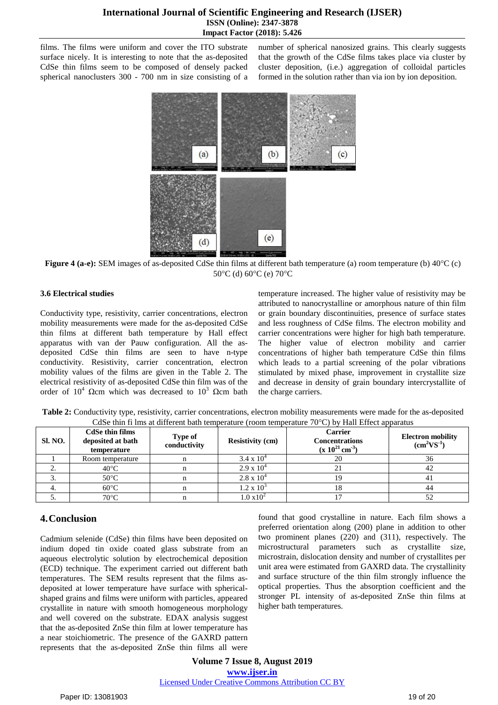films. The films were uniform and cover the ITO substrate surface nicely. It is interesting to note that the as-deposited CdSe thin films seem to be composed of densely packed spherical nanoclusters 300 - 700 nm in size consisting of a number of spherical nanosized grains. This clearly suggests that the growth of the CdSe films takes place via cluster by cluster deposition, (i.e.) aggregation of colloidal particles formed in the solution rather than via ion by ion deposition.



**Figure 4 (a-e):** SEM images of as-deposited CdSe thin films at different bath temperature (a) room temperature (b) 40°C (c) 50°C (d)  $60^{\circ}$ C (e)  $70^{\circ}$ C

## **3.6 Electrical studies**

Conductivity type, resistivity, carrier concentrations, electron mobility measurements were made for the as-deposited CdSe thin films at different bath temperature by Hall effect apparatus with van der Pauw configuration. All the asdeposited CdSe thin films are seen to have n-type conductivity. Resistivity, carrier concentration, electron mobility values of the films are given in the Table 2. The electrical resistivity of as-deposited CdSe thin film was of the order of  $10^4$  Ωcm which was decreased to  $10^3$  Ωcm bath

temperature increased. The higher value of resistivity may be attributed to nanocrystalline or amorphous nature of thin film or grain boundary discontinuities, presence of surface states and less roughness of CdSe films. The electron mobility and carrier concentrations were higher for high bath temperature. The higher value of electron mobility and carrier concentrations of higher bath temperature CdSe thin films which leads to a partial screening of the polar vibrations stimulated by mixed phase, improvement in crystallite size and decrease in density of grain boundary intercrystallite of the charge carriers.

| CdSe thin films<br><b>Carrier</b><br>Type of<br>Electron mobility<br>$\mathbf{D}_{\text{total}}(t)$<br>الملائم والمعارف المتحدث والمستحدث<br>$C1$ $NO$<br>$\alpha$ are a substant of such as |  |  |  |  |  |  |  |  |
|----------------------------------------------------------------------------------------------------------------------------------------------------------------------------------------------|--|--|--|--|--|--|--|--|
| CdSe thin fi lms at different bath temperature (room temperature $70^{\circ}$ C) by Hall Effect apparatus                                                                                    |  |  |  |  |  |  |  |  |
| <b>Table 2:</b> Conductivity type, resistivity, carrier concentrations, electron mobility measurements were made for the as-deposited                                                        |  |  |  |  |  |  |  |  |

| <b>SI. NO.</b> | <b>CdSe thin films</b><br>deposited at bath<br>temperature | Type of<br>conductivity | <b>Resistivity (cm)</b> | <b>Carrier</b><br><b>Concentrations</b><br>$(x 10^{21} cm^{-3})$ | <b>Electron mobility</b><br>$(cm^2VS^{-1})$ |
|----------------|------------------------------------------------------------|-------------------------|-------------------------|------------------------------------------------------------------|---------------------------------------------|
|                | Room temperature                                           |                         | $3.4 \times 10^{4}$     | 20                                                               | 36                                          |
| <b>L.</b>      | $40^{\circ}$ C                                             |                         | $2.9 \times 10^{4}$     |                                                                  | 42                                          |
|                | $50^{\circ}$ C                                             |                         | $2.8 \times 10^{4}$     | 19                                                               | 41                                          |
|                | $60^{\circ}$ C                                             |                         | $1.2 \times 10^{3}$     | 18                                                               | 44                                          |
|                | $70^{\circ}$ C                                             |                         | $1.0 \times 10^{2}$     |                                                                  | ΟZ                                          |

# **4.Conclusion**

Cadmium selenide (CdSe) thin films have been deposited on indium doped tin oxide coated glass substrate from an aqueous electrolytic solution by electrochemical deposition (ECD) technique. The experiment carried out different bath temperatures. The SEM results represent that the films asdeposited at lower temperature have surface with sphericalshaped grains and films were uniform with particles, appeared crystallite in nature with smooth homogeneous morphology and well covered on the substrate. EDAX analysis suggest that the as-deposited ZnSe thin film at lower temperature has a near stoichiometric. The presence of the GAXRD pattern represents that the as-deposited ZnSe thin films all were found that good crystalline in nature. Each film shows a preferred orientation along (200) plane in addition to other two prominent planes (220) and (311), respectively. The microstructural parameters such as crystallite size, microstrain, dislocation density and number of crystallites per unit area were estimated from GAXRD data. The crystallinity and surface structure of the thin film strongly influence the optical properties. Thus the absorption coefficient and the stronger PL intensity of as-deposited ZnSe thin films at higher bath temperatures.